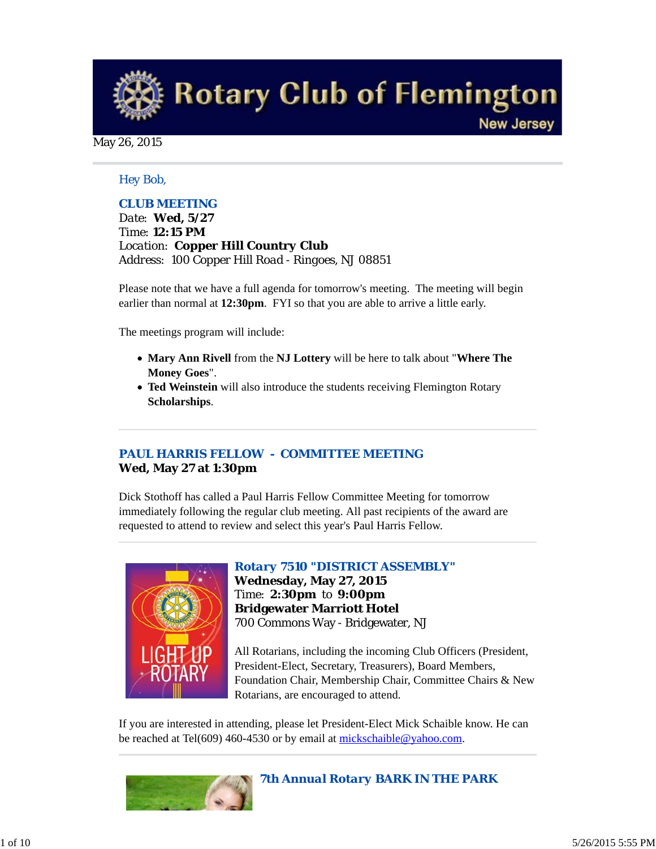**Rotary Club of Flemington New Jersey** 

May 26, 2015

## *Hey Bob,*

## *CLUB MEETING*

*Date: Wed, 5/27 Time: 12:15 PM Location: Copper Hill Country Club Address: 100 Copper Hill Road - Ringoes, NJ 08851*

Please note that we have a full agenda for tomorrow's meeting. The meeting will begin earlier than normal at **12:30pm**. FYI so that you are able to arrive a little early.

The meetings program will include:

- **Mary Ann Rivell** from the **NJ Lottery** will be here to talk about "**Where The Money Goes**".
- **Ted Weinstein** will also introduce the students receiving Flemington Rotary **Scholarships**.

# *PAUL HARRIS FELLOW - COMMITTEE MEETING* **Wed, May 27 at 1:30pm**

Dick Stothoff has called a Paul Harris Fellow Committee Meeting for tomorrow immediately following the regular club meeting. All past recipients of the award are requested to attend to review and select this year's Paul Harris Fellow.



*Rotary 7510 "DISTRICT ASSEMBLY"* **Wednesday, May 27, 2015** Time: **2:30pm** to **9:00pm Bridgewater Marriott Hotel** 700 Commons Way - Bridgewater, NJ

All Rotarians, including the incoming Club Officers (President, President-Elect, Secretary, Treasurers), Board Members, Foundation Chair, Membership Chair, Committee Chairs & New Rotarians, are encouraged to attend.

If you are interested in attending, please let President-Elect Mick Schaible know. He can be reached at Tel(609) 460-4530 or by email at mickschaible@yahoo.com.



# *7th Annual Rotary BARK IN THE PARK*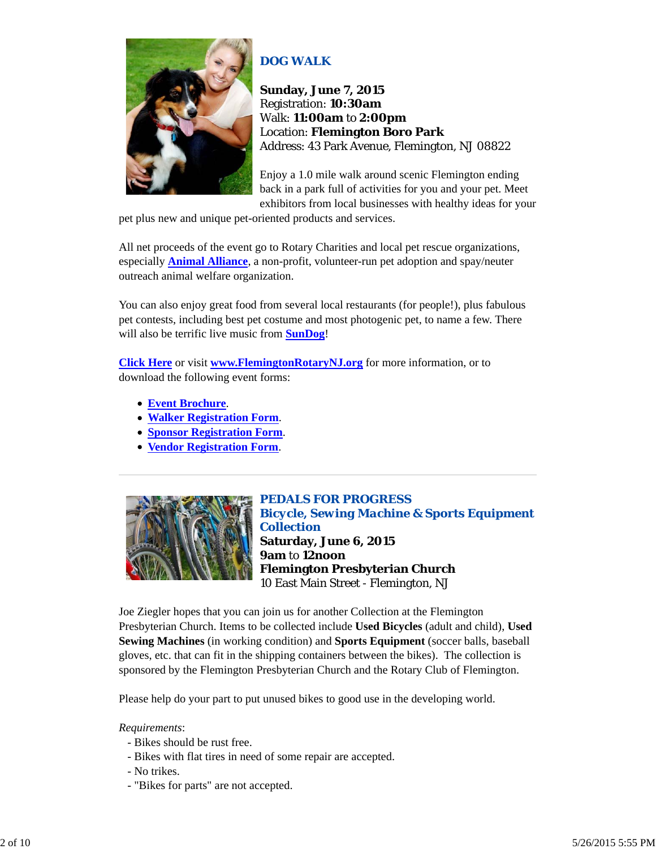

# *DOG WALK*

**Sunday, June 7, 2015** Registration: **10:30am** Walk: **11:00am** to **2:00pm** Location: **Flemington Boro Park** Address: 43 Park Avenue, Flemington, NJ 08822

Enjoy a 1.0 mile walk around scenic Flemington ending back in a park full of activities for you and your pet. Meet exhibitors from local businesses with healthy ideas for your

pet plus new and unique pet-oriented products and services.

All net proceeds of the event go to Rotary Charities and local pet rescue organizations, especially **Animal Alliance**, a non-profit, volunteer-run pet adoption and spay/neuter outreach animal welfare organization.

You can also enjoy great food from several local restaurants (for people!), plus fabulous pet contests, including best pet costume and most photogenic pet, to name a few. There will also be terrific live music from **SunDog**!

**Click Here** or visit **www.FlemingtonRotaryNJ.org** for more information, or to download the following event forms:

- **Event Brochure**.
- **Walker Registration Form**.
- **Sponsor Registration Form**.
- **Vendor Registration Form**.



*PEDALS FOR PROGRESS Bicycle, Sewing Machine & Sports Equipment Collection* **Saturday, June 6, 2015 9am** to **12noon Flemington Presbyterian Church** 10 East Main Street - Flemington, NJ

Joe Ziegler hopes that you can join us for another Collection at the Flemington Presbyterian Church. Items to be collected include **Used Bicycles** (adult and child), **Used Sewing Machines** (in working condition) and **Sports Equipment** (soccer balls, baseball gloves, etc. that can fit in the shipping containers between the bikes). The collection is sponsored by the Flemington Presbyterian Church and the Rotary Club of Flemington.

Please help do your part to put unused bikes to good use in the developing world.

#### *Requirements*:

- Bikes should be rust free.
- Bikes with flat tires in need of some repair are accepted.
- No trikes.
- "Bikes for parts" are not accepted.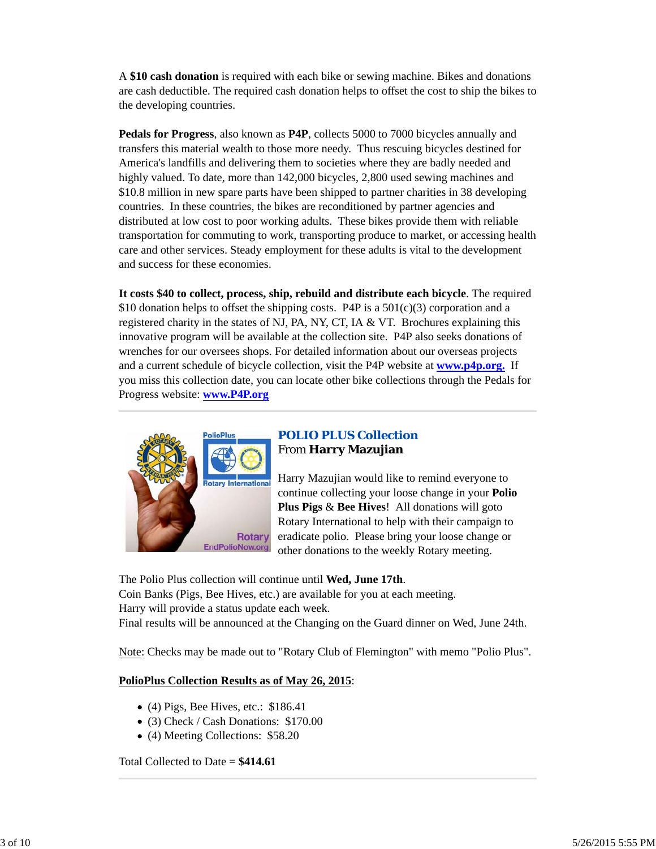A **\$10 cash donation** is required with each bike or sewing machine. Bikes and donations are cash deductible. The required cash donation helps to offset the cost to ship the bikes to the developing countries.

**Pedals for Progress**, also known as **P4P**, collects 5000 to 7000 bicycles annually and transfers this material wealth to those more needy. Thus rescuing bicycles destined for America's landfills and delivering them to societies where they are badly needed and highly valued. To date, more than 142,000 bicycles, 2,800 used sewing machines and \$10.8 million in new spare parts have been shipped to partner charities in 38 developing countries. In these countries, the bikes are reconditioned by partner agencies and distributed at low cost to poor working adults. These bikes provide them with reliable transportation for commuting to work, transporting produce to market, or accessing health care and other services. Steady employment for these adults is vital to the development and success for these economies.

**It costs \$40 to collect, process, ship, rebuild and distribute each bicycle**. The required \$10 donation helps to offset the shipping costs. P4P is a  $501(c)(3)$  corporation and a registered charity in the states of NJ, PA, NY, CT, IA & VT. Brochures explaining this innovative program will be available at the collection site. P4P also seeks donations of wrenches for our oversees shops. For detailed information about our overseas projects and a current schedule of bicycle collection, visit the P4P website at **www.p4p.org.** If you miss this collection date, you can locate other bike collections through the Pedals for Progress website: **www.P4P.org**



# *POLIO PLUS Collection* From **Harry Mazujian**

Harry Mazujian would like to remind everyone to continue collecting your loose change in your **Polio Plus Pigs** & **Bee Hives**! All donations will goto Rotary International to help with their campaign to eradicate polio. Please bring your loose change or other donations to the weekly Rotary meeting.

The Polio Plus collection will continue until **Wed, June 17th**. Coin Banks (Pigs, Bee Hives, etc.) are available for you at each meeting. Harry will provide a status update each week. Final results will be announced at the Changing on the Guard dinner on Wed, June 24th.

Note: Checks may be made out to "Rotary Club of Flemington" with memo "Polio Plus".

# **PolioPlus Collection Results as of May 26, 2015**:

- $\bullet$  (4) Pigs, Bee Hives, etc.: \$186.41
- (3) Check / Cash Donations: \$170.00
- (4) Meeting Collections: \$58.20

Total Collected to Date = **\$414.61**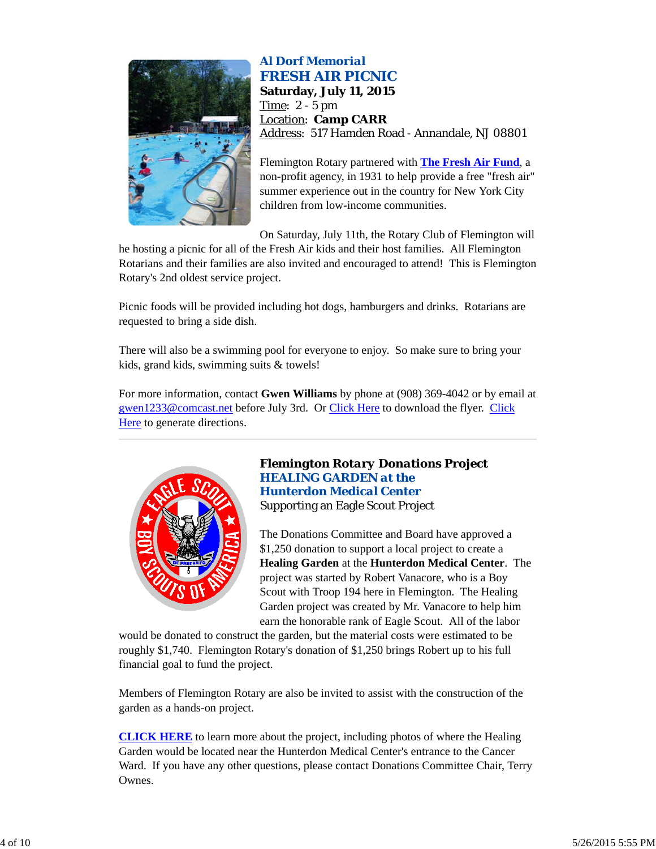

# *Al Dorf Memorial FRESH AIR PICNIC*

**Saturday, July 11, 2015** Time: 2 - 5 pm Location: **Camp CARR** Address: 517 Hamden Road - Annandale, NJ 08801

Flemington Rotary partnered with **The Fresh Air Fund**, a non-profit agency, in 1931 to help provide a free "fresh air" summer experience out in the country for New York City children from low-income communities.

On Saturday, July 11th, the Rotary Club of Flemington will

he hosting a picnic for all of the Fresh Air kids and their host families. All Flemington Rotarians and their families are also invited and encouraged to attend! This is Flemington Rotary's 2nd oldest service project.

Picnic foods will be provided including hot dogs, hamburgers and drinks. Rotarians are requested to bring a side dish.

There will also be a swimming pool for everyone to enjoy. So make sure to bring your kids, grand kids, swimming suits & towels!

For more information, contact **Gwen Williams** by phone at (908) 369-4042 or by email at gwen1233@comcast.net before July 3rd. Or Click Here to download the flyer. Click Here to generate directions.



# *Flemington Rotary Donations Project HEALING GARDEN at the Hunterdon Medical Center* Supporting an Eagle Scout Project

The Donations Committee and Board have approved a \$1,250 donation to support a local project to create a **Healing Garden** at the **Hunterdon Medical Center**. The project was started by Robert Vanacore, who is a Boy Scout with Troop 194 here in Flemington. The Healing Garden project was created by Mr. Vanacore to help him earn the honorable rank of Eagle Scout. All of the labor

would be donated to construct the garden, but the material costs were estimated to be roughly \$1,740. Flemington Rotary's donation of \$1,250 brings Robert up to his full financial goal to fund the project.

Members of Flemington Rotary are also be invited to assist with the construction of the garden as a hands-on project.

**CLICK HERE** to learn more about the project, including photos of where the Healing Garden would be located near the Hunterdon Medical Center's entrance to the Cancer Ward. If you have any other questions, please contact Donations Committee Chair, Terry Ownes.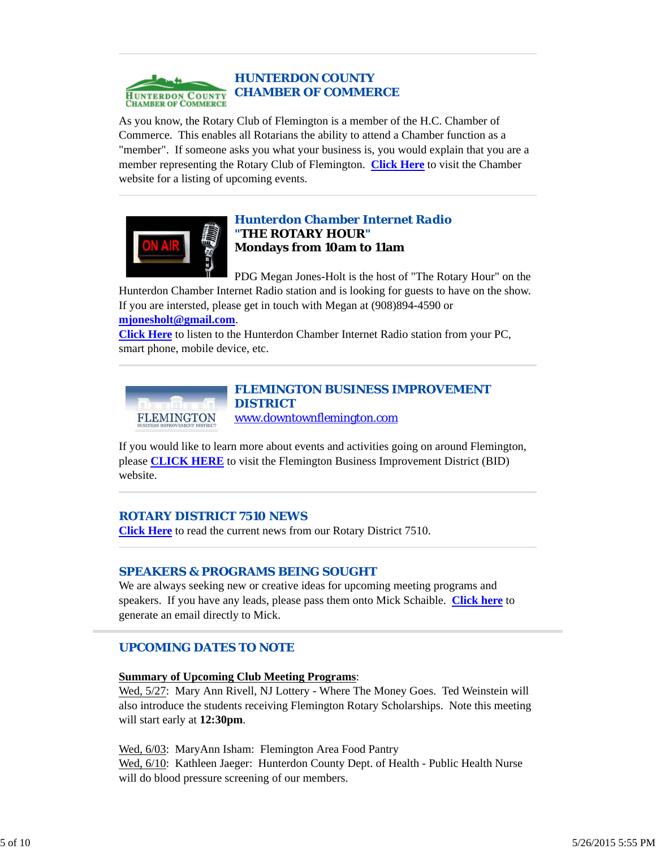

As you know, the Rotary Club of Flemington is a member of the H.C. Chamber of Commerce. This enables all Rotarians the ability to attend a Chamber function as a "member". If someone asks you what your business is, you would explain that you are a member representing the Rotary Club of Flemington. **Click Here** to visit the Chamber website for a listing of upcoming events.



# *Hunterdon Chamber Internet Radio "THE ROTARY HOUR"* **Mondays from 10am to 11am**

PDG Megan Jones-Holt is the host of "The Rotary Hour" on the Hunterdon Chamber Internet Radio station and is looking for guests to have on the show. If you are intersted, please get in touch with Megan at (908)894-4590 or

#### **mjonesholt@gmail.com**.

**Click Here** to listen to the Hunterdon Chamber Internet Radio station from your PC, smart phone, mobile device, etc.



*FLEMINGTON BUSINESS IMPROVEMENT DISTRICT* www.downtownflemington.com

If you would like to learn more about events and activities going on around Flemington, please **CLICK HERE** to visit the Flemington Business Improvement District (BID) website.

# *ROTARY DISTRICT 7510 NEWS*

**Click Here** to read the current news from our Rotary District 7510.

# *SPEAKERS & PROGRAMS BEING SOUGHT*

We are always seeking new or creative ideas for upcoming meeting programs and speakers. If you have any leads, please pass them onto Mick Schaible. **Click here** to generate an email directly to Mick.

# *UPCOMING DATES TO NOTE*

#### **Summary of Upcoming Club Meeting Programs**:

Wed, 5/27: Mary Ann Rivell, NJ Lottery - Where The Money Goes. Ted Weinstein will also introduce the students receiving Flemington Rotary Scholarships. Note this meeting will start early at **12:30pm**.

Wed, 6/03: MaryAnn Isham: Flemington Area Food Pantry Wed, 6/10: Kathleen Jaeger: Hunterdon County Dept. of Health - Public Health Nurse will do blood pressure screening of our members.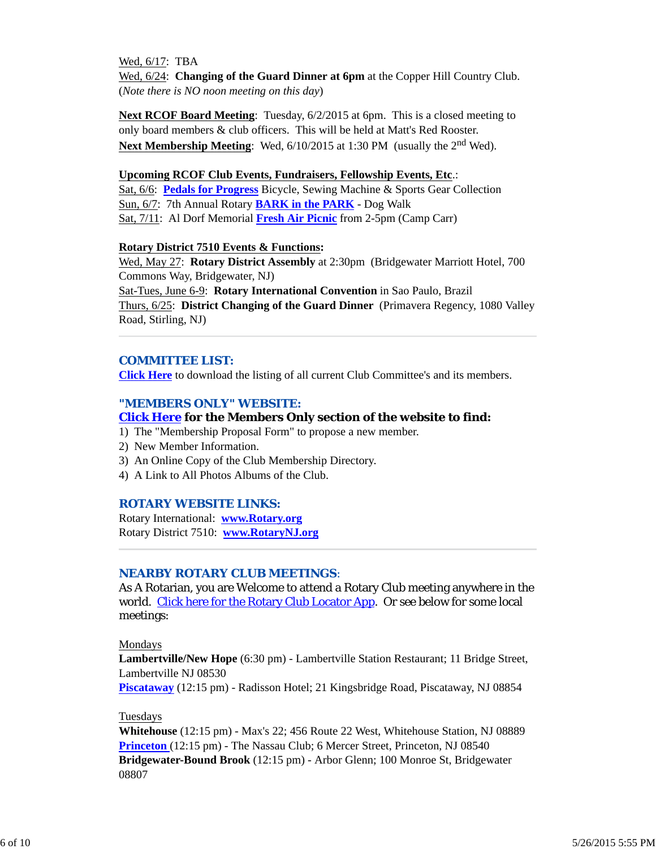Wed, 6/17: TBA Wed, 6/24: **Changing of the Guard Dinner at 6pm** at the Copper Hill Country Club. (*Note there is NO noon meeting on this day*)

**Next RCOF Board Meeting**: Tuesday, 6/2/2015 at 6pm. This is a closed meeting to only board members & club officers. This will be held at Matt's Red Rooster. **Next Membership Meeting**: Wed, 6/10/2015 at 1:30 PM (usually the 2<sup>nd</sup> Wed).

### **Upcoming RCOF Club Events, Fundraisers, Fellowship Events, Etc**.:

Sat, 6/6: **Pedals for Progress** Bicycle, Sewing Machine & Sports Gear Collection Sun, 6/7: 7th Annual Rotary **BARK in the PARK** - Dog Walk Sat, 7/11: Al Dorf Memorial **Fresh Air Picnic** from 2-5pm (Camp Carr)

#### **Rotary District 7510 Events & Functions:**

Wed, May 27: **Rotary District Assembly** at 2:30pm (Bridgewater Marriott Hotel, 700 Commons Way, Bridgewater, NJ)

Sat-Tues, June 6-9: **Rotary International Convention** in Sao Paulo, Brazil Thurs, 6/25: **District Changing of the Guard Dinner** (Primavera Regency, 1080 Valley Road, Stirling, NJ)

# *COMMITTEE LIST:*

**Click Here** to download the listing of all current Club Committee's and its members.

# *"MEMBERS ONLY" WEBSITE:*

## **Click Here for the Members Only section of the website to find:**

- 1) The "Membership Proposal Form" to propose a new member.
- 2) New Member Information.
- 3) An Online Copy of the Club Membership Directory.
- 4) A Link to All Photos Albums of the Club.

#### *ROTARY WEBSITE LINKS:*

Rotary International: **www.Rotary.org** Rotary District 7510: **www.RotaryNJ.org**

## *NEARBY ROTARY CLUB MEETINGS:*

As A Rotarian, you are Welcome to attend a Rotary Club meeting anywhere in the world. Click here for the Rotary Club Locator App. Or see below for some local meetings:

#### Mondays

**Lambertville/New Hope** (6:30 pm) - Lambertville Station Restaurant; 11 Bridge Street, Lambertville NJ 08530

**Piscataway** (12:15 pm) - Radisson Hotel; 21 Kingsbridge Road, Piscataway, NJ 08854

#### Tuesdays

**Whitehouse** (12:15 pm) - Max's 22; 456 Route 22 West, Whitehouse Station, NJ 08889 **Princeton** (12:15 pm) - The Nassau Club; 6 Mercer Street, Princeton, NJ 08540 **Bridgewater-Bound Brook** (12:15 pm) - Arbor Glenn; 100 Monroe St, Bridgewater 08807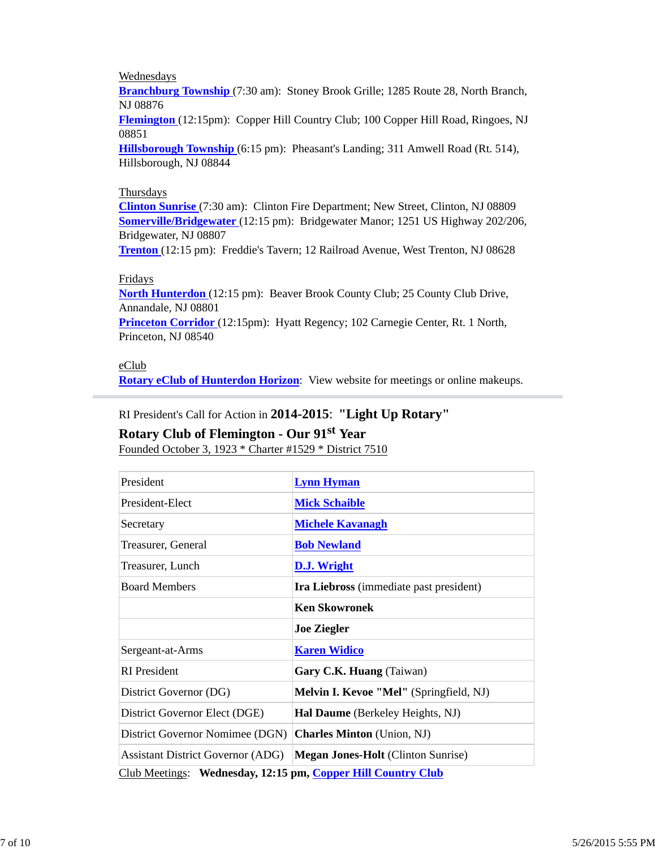# **Wednesdays**

**Branchburg Township** (7:30 am): Stoney Brook Grille; 1285 Route 28, North Branch, NJ 08876

**Flemington** (12:15pm): Copper Hill Country Club; 100 Copper Hill Road, Ringoes, NJ 08851

**Hillsborough Township** (6:15 pm): Pheasant's Landing; 311 Amwell Road (Rt. 514), Hillsborough, NJ 08844

## Thursdays

**Clinton Sunrise** (7:30 am): Clinton Fire Department; New Street, Clinton, NJ 08809 **Somerville/Bridgewater** (12:15 pm): Bridgewater Manor; 1251 US Highway 202/206, Bridgewater, NJ 08807

**Trenton** (12:15 pm): Freddie's Tavern; 12 Railroad Avenue, West Trenton, NJ 08628

# Fridays

**North Hunterdon** (12:15 pm): Beaver Brook County Club; 25 County Club Drive, Annandale, NJ 08801 **Princeton Corridor** (12:15pm): Hyatt Regency; 102 Carnegie Center, Rt. 1 North, Princeton, NJ 08540

## eClub

**Rotary eClub of Hunterdon Horizon**: View website for meetings or online makeups.

# RI President's Call for Action in **2014-2015**: **"Light Up Rotary" Rotary Club of Flemington - Our 91st Year**

Founded October 3, 1923 \* Charter #1529 \* District 7510

| President                                                    | <b>Lynn Hyman</b>                         |  |  |
|--------------------------------------------------------------|-------------------------------------------|--|--|
| President-Elect                                              | <b>Mick Schaible</b>                      |  |  |
| Secretary                                                    | <b>Michele Kavanagh</b>                   |  |  |
| Treasurer, General                                           | <b>Bob Newland</b>                        |  |  |
| Treasurer, Lunch                                             | <b>D.J.</b> Wright                        |  |  |
| <b>Board Members</b>                                         | Ira Liebross (immediate past president)   |  |  |
|                                                              | <b>Ken Skowronek</b>                      |  |  |
|                                                              | <b>Joe Ziegler</b>                        |  |  |
| Sergeant-at-Arms                                             | <b>Karen Widico</b>                       |  |  |
| <b>RI</b> President                                          | Gary C.K. Huang (Taiwan)                  |  |  |
| District Governor (DG)                                       | Melvin I. Kevoe "Mel" (Springfield, NJ)   |  |  |
| District Governor Elect (DGE)                                | <b>Hal Daume</b> (Berkeley Heights, NJ)   |  |  |
| District Governor Nomimee (DGN)                              | <b>Charles Minton</b> (Union, NJ)         |  |  |
| <b>Assistant District Governor (ADG)</b>                     | <b>Megan Jones-Holt</b> (Clinton Sunrise) |  |  |
| Club Meetings: Wednesday, 12:15 pm, Copper Hill Country Club |                                           |  |  |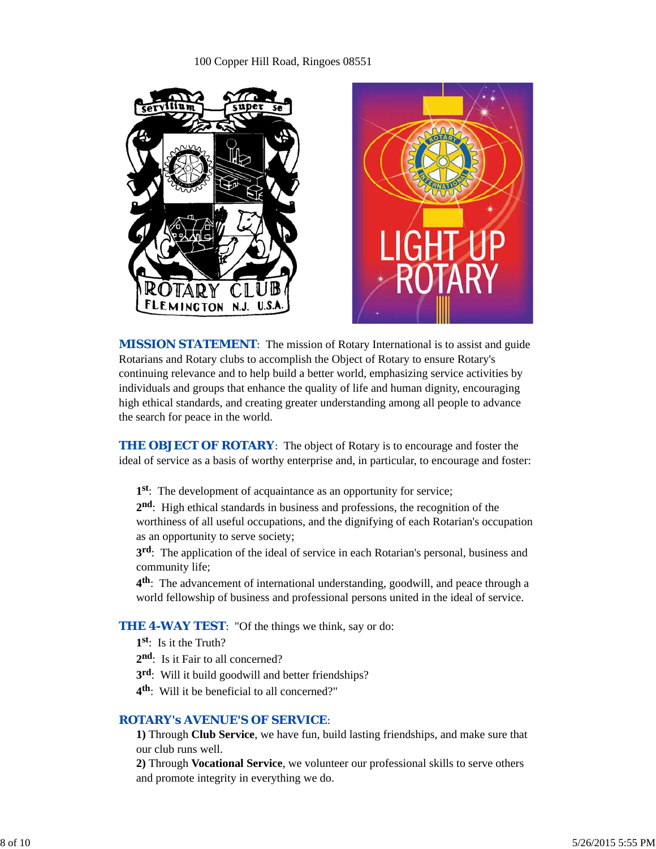# 100 Copper Hill Road, Ringoes 08551





*MISSION STATEMENT*: The mission of Rotary International is to assist and guide Rotarians and Rotary clubs to accomplish the Object of Rotary to ensure Rotary's continuing relevance and to help build a better world, emphasizing service activities by individuals and groups that enhance the quality of life and human dignity, encouraging high ethical standards, and creating greater understanding among all people to advance the search for peace in the world.

**THE OBJECT OF ROTARY:** The object of Rotary is to encourage and foster the ideal of service as a basis of worthy enterprise and, in particular, to encourage and foster:

**1st**: The development of acquaintance as an opportunity for service;

**2nd**: High ethical standards in business and professions, the recognition of the worthiness of all useful occupations, and the dignifying of each Rotarian's occupation as an opportunity to serve society;

**3rd**: The application of the ideal of service in each Rotarian's personal, business and community life;

**4th**: The advancement of international understanding, goodwill, and peace through a world fellowship of business and professional persons united in the ideal of service.

# **THE 4-WAY TEST:** "Of the things we think, say or do:

**1st**: Is it the Truth?

- 2<sup>nd</sup>: Is it Fair to all concerned?
- **3rd**: Will it build goodwill and better friendships?
- **4th**: Will it be beneficial to all concerned?"

## *ROTARY's AVENUE'S OF SERVICE*:

**1)** Through **Club Service**, we have fun, build lasting friendships, and make sure that our club runs well.

**2)** Through **Vocational Service**, we volunteer our professional skills to serve others and promote integrity in everything we do.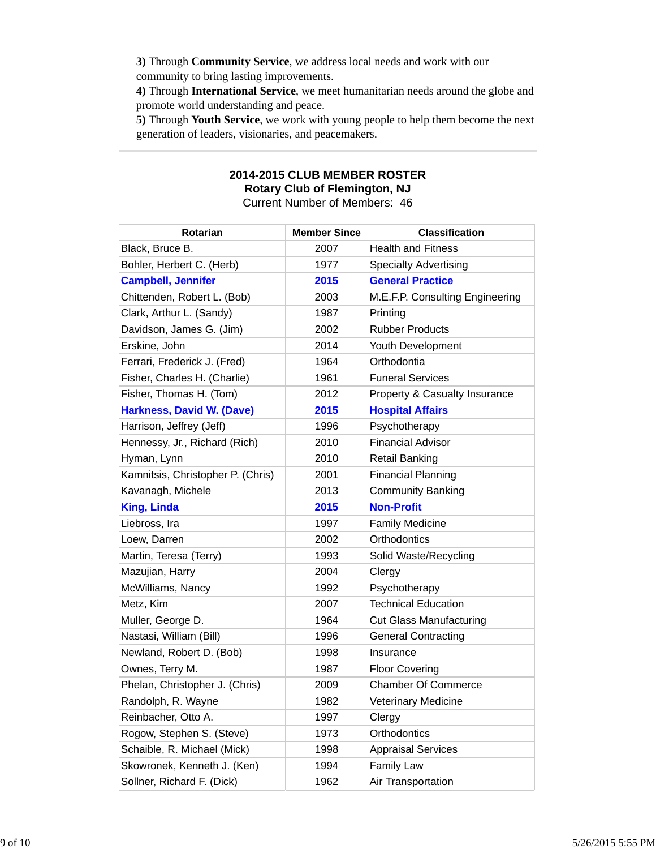**3)** Through **Community Service**, we address local needs and work with our community to bring lasting improvements.

**4)** Through **International Service**, we meet humanitarian needs around the globe and promote world understanding and peace.

**5)** Through **Youth Service**, we work with young people to help them become the next generation of leaders, visionaries, and peacemakers.

## **2014-2015 CLUB MEMBER ROSTER Rotary Club of Flemington, NJ** Current Number of Members: 46

| Rotarian                          | <b>Member Since</b> | <b>Classification</b>           |
|-----------------------------------|---------------------|---------------------------------|
| Black, Bruce B.                   | 2007                | <b>Health and Fitness</b>       |
| Bohler, Herbert C. (Herb)         | 1977                | <b>Specialty Advertising</b>    |
| <b>Campbell, Jennifer</b>         | 2015                | <b>General Practice</b>         |
| Chittenden, Robert L. (Bob)       | 2003                | M.E.F.P. Consulting Engineering |
| Clark, Arthur L. (Sandy)          | 1987                | Printing                        |
| Davidson, James G. (Jim)          | 2002                | <b>Rubber Products</b>          |
| Erskine, John                     | 2014                | Youth Development               |
| Ferrari, Frederick J. (Fred)      | 1964                | Orthodontia                     |
| Fisher, Charles H. (Charlie)      | 1961                | <b>Funeral Services</b>         |
| Fisher, Thomas H. (Tom)           | 2012                | Property & Casualty Insurance   |
| <b>Harkness, David W. (Dave)</b>  | 2015                | <b>Hospital Affairs</b>         |
| Harrison, Jeffrey (Jeff)          | 1996                | Psychotherapy                   |
| Hennessy, Jr., Richard (Rich)     | 2010                | <b>Financial Advisor</b>        |
| Hyman, Lynn                       | 2010                | <b>Retail Banking</b>           |
| Kamnitsis, Christopher P. (Chris) | 2001                | <b>Financial Planning</b>       |
| Kavanagh, Michele                 | 2013                | <b>Community Banking</b>        |
| <b>King, Linda</b>                | 2015                | <b>Non-Profit</b>               |
| Liebross, Ira                     | 1997                | <b>Family Medicine</b>          |
| Loew, Darren                      | 2002                | Orthodontics                    |
| Martin, Teresa (Terry)            | 1993                | Solid Waste/Recycling           |
| Mazujian, Harry                   | 2004                | Clergy                          |
| McWilliams, Nancy                 | 1992                | Psychotherapy                   |
| Metz, Kim                         | 2007                | <b>Technical Education</b>      |
| Muller, George D.                 | 1964                | <b>Cut Glass Manufacturing</b>  |
| Nastasi, William (Bill)           | 1996                | <b>General Contracting</b>      |
| Newland, Robert D. (Bob)          | 1998                | Insurance                       |
| Ownes, Terry M.                   | 1987                | <b>Floor Covering</b>           |
| Phelan, Christopher J. (Chris)    | 2009                | <b>Chamber Of Commerce</b>      |
| Randolph, R. Wayne                | 1982                | <b>Veterinary Medicine</b>      |
| Reinbacher, Otto A.               | 1997                | Clergy                          |
| Rogow, Stephen S. (Steve)         | 1973                | Orthodontics                    |
| Schaible, R. Michael (Mick)       | 1998                | <b>Appraisal Services</b>       |
| Skowronek, Kenneth J. (Ken)       | 1994                | <b>Family Law</b>               |
| Sollner, Richard F. (Dick)        | 1962                | Air Transportation              |